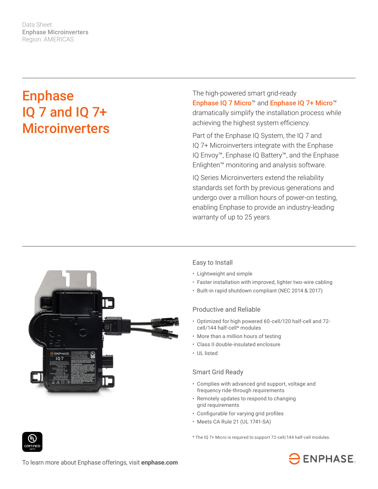Data Sheet Enphase Microinverters Region: AMERICAS

# **Enphase** IQ 7 and IQ 7+ **Microinverters**

The high-powered smart grid-ready Enphase IQ 7 Micro™ and Enphase IQ 7+ Micro™ dramatically simplify the installation process while achieving the highest system efficiency.

Part of the Enphase IQ System, the IQ 7 and IQ 7+ Microinverters integrate with the Enphase IQ Envoy™, Enphase IQ Battery™, and the Enphase Enlighten™ monitoring and analysis software.

IQ Series Microinverters extend the reliability standards set forth by previous generations and undergo over a million hours of power-on testing, enabling Enphase to provide an industry-leading warranty of up to 25 years.



### Easy to Install

- Lightweight and simple
- Faster installation with improved, lighter two-wire cabling
- Built-in rapid shutdown compliant (NEC 2014 & 2017)

#### Productive and Reliable

- Optimized for high powered 60-cell/120 half-cell and 72 cell/144 half-cell\* modules
- More than a million hours of testing
- Class II double-insulated enclosure
- UL listed

### Smart Grid Ready

- Complies with advanced grid support, voltage and frequency ride-through requirements
- Remotely updates to respond to changing grid requirements
- • Configurable for varying grid profiles
- Meets CA Rule 21 (UL 1741-SA)

\* The IQ 7+ Micro is required to support 72-cell/144 half-cell modules.